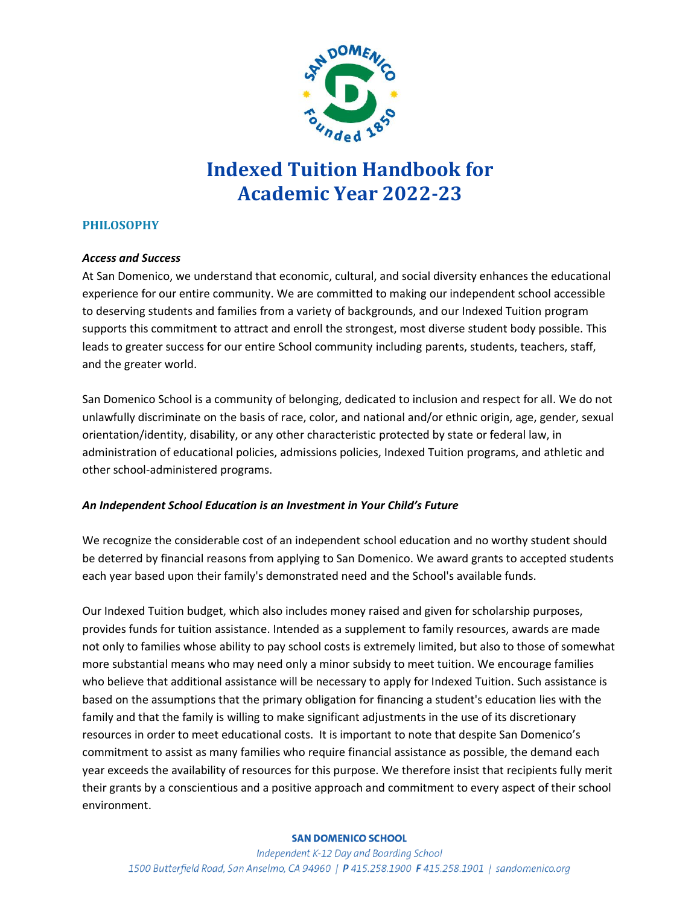

# **Indexed Tuition Handbook for Academic Year 2022-23**

# **PHILOSOPHY**

#### *Access and Success*

At San Domenico, we understand that economic, cultural, and social diversity enhances the educational experience for our entire community. We are committed to making our independent school accessible to deserving students and families from a variety of backgrounds, and our Indexed Tuition program supports this commitment to attract and enroll the strongest, most diverse student body possible. This leads to greater success for our entire School community including parents, students, teachers, staff, and the greater world.

San Domenico School is a community of belonging, dedicated to inclusion and respect for all. We do not unlawfully discriminate on the basis of race, color, and national and/or ethnic origin, age, gender, sexual orientation/identity, disability, or any other characteristic protected by state or federal law, in administration of educational policies, admissions policies, Indexed Tuition programs, and athletic and other school-administered programs.

# *An Independent School Education is an Investment in Your Child's Future*

We recognize the considerable cost of an independent school education and no worthy student should be deterred by financial reasons from applying to San Domenico. We award grants to accepted students each year based upon their family's demonstrated need and the School's available funds.

Our Indexed Tuition budget, which also includes money raised and given for scholarship purposes, provides funds for tuition assistance. Intended as a supplement to family resources, awards are made not only to families whose ability to pay school costs is extremely limited, but also to those of somewhat more substantial means who may need only a minor subsidy to meet tuition. We encourage families who believe that additional assistance will be necessary to apply for Indexed Tuition. Such assistance is based on the assumptions that the primary obligation for financing a student's education lies with the family and that the family is willing to make significant adjustments in the use of its discretionary resources in order to meet educational costs. It is important to note that despite San Domenico's commitment to assist as many families who require financial assistance as possible, the demand each year exceeds the availability of resources for this purpose. We therefore insist that recipients fully merit their grants by a conscientious and a positive approach and commitment to every aspect of their school environment.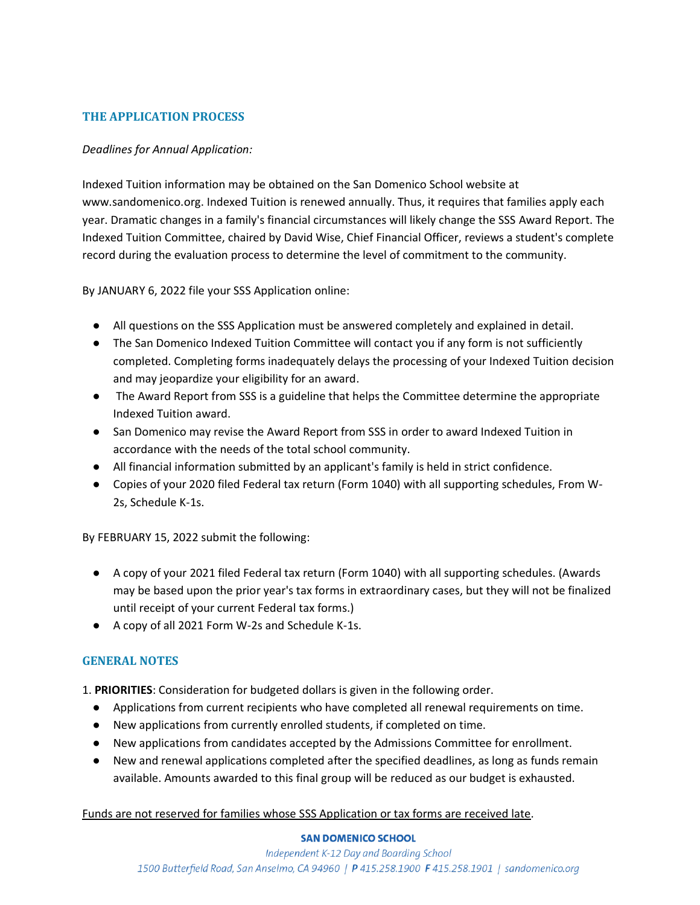# **THE APPLICATION PROCESS**

### *Deadlines for Annual Application:*

Indexed Tuition information may be obtained on the San Domenico School website at www.sandomenico.org. Indexed Tuition is renewed annually. Thus, it requires that families apply each year. Dramatic changes in a family's financial circumstances will likely change the SSS Award Report. The Indexed Tuition Committee, chaired by David Wise, Chief Financial Officer, reviews a student's complete record during the evaluation process to determine the level of commitment to the community.

By JANUARY 6, 2022 file your SSS Application online:

- All questions on the SSS Application must be answered completely and explained in detail.
- The San Domenico Indexed Tuition Committee will contact you if any form is not sufficiently completed. Completing forms inadequately delays the processing of your Indexed Tuition decision and may jeopardize your eligibility for an award.
- The Award Report from SSS is a guideline that helps the Committee determine the appropriate Indexed Tuition award.
- San Domenico may revise the Award Report from SSS in order to award Indexed Tuition in accordance with the needs of the total school community.
- All financial information submitted by an applicant's family is held in strict confidence.
- Copies of your 2020 filed Federal tax return (Form 1040) with all supporting schedules, From W-2s, Schedule K-1s.

By FEBRUARY 15, 2022 submit the following:

- A copy of your 2021 filed Federal tax return (Form 1040) with all supporting schedules. (Awards may be based upon the prior year's tax forms in extraordinary cases, but they will not be finalized until receipt of your current Federal tax forms.)
- A copy of all 2021 Form W-2s and Schedule K-1s.

# **GENERAL NOTES**

- 1. **PRIORITIES**: Consideration for budgeted dollars is given in the following order.
	- Applications from current recipients who have completed all renewal requirements on time.
	- New applications from currently enrolled students, if completed on time.
	- New applications from candidates accepted by the Admissions Committee for enrollment.
	- New and renewal applications completed after the specified deadlines, as long as funds remain available. Amounts awarded to this final group will be reduced as our budget is exhausted.

Funds are not reserved for families whose SSS Application or tax forms are received late.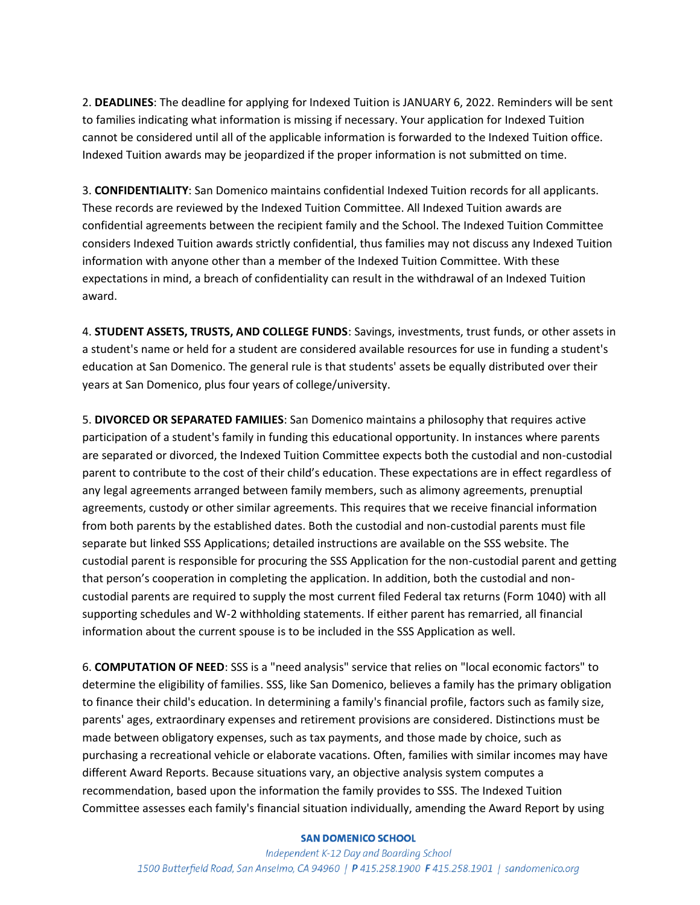2. **DEADLINES**: The deadline for applying for Indexed Tuition is JANUARY 6, 2022. Reminders will be sent to families indicating what information is missing if necessary. Your application for Indexed Tuition cannot be considered until all of the applicable information is forwarded to the Indexed Tuition office. Indexed Tuition awards may be jeopardized if the proper information is not submitted on time.

3. **CONFIDENTIALITY**: San Domenico maintains confidential Indexed Tuition records for all applicants. These records are reviewed by the Indexed Tuition Committee. All Indexed Tuition awards are confidential agreements between the recipient family and the School. The Indexed Tuition Committee considers Indexed Tuition awards strictly confidential, thus families may not discuss any Indexed Tuition information with anyone other than a member of the Indexed Tuition Committee. With these expectations in mind, a breach of confidentiality can result in the withdrawal of an Indexed Tuition award.

4. **STUDENT ASSETS, TRUSTS, AND COLLEGE FUNDS**: Savings, investments, trust funds, or other assets in a student's name or held for a student are considered available resources for use in funding a student's education at San Domenico. The general rule is that students' assets be equally distributed over their years at San Domenico, plus four years of college/university.

5. **DIVORCED OR SEPARATED FAMILIES**: San Domenico maintains a philosophy that requires active participation of a student's family in funding this educational opportunity. In instances where parents are separated or divorced, the Indexed Tuition Committee expects both the custodial and non-custodial parent to contribute to the cost of their child's education. These expectations are in effect regardless of any legal agreements arranged between family members, such as alimony agreements, prenuptial agreements, custody or other similar agreements. This requires that we receive financial information from both parents by the established dates. Both the custodial and non-custodial parents must file separate but linked SSS Applications; detailed instructions are available on the SSS website. The custodial parent is responsible for procuring the SSS Application for the non-custodial parent and getting that person's cooperation in completing the application. In addition, both the custodial and noncustodial parents are required to supply the most current filed Federal tax returns (Form 1040) with all supporting schedules and W-2 withholding statements. If either parent has remarried, all financial information about the current spouse is to be included in the SSS Application as well.

6. **COMPUTATION OF NEED**: SSS is a "need analysis" service that relies on "local economic factors" to determine the eligibility of families. SSS, like San Domenico, believes a family has the primary obligation to finance their child's education. In determining a family's financial profile, factors such as family size, parents' ages, extraordinary expenses and retirement provisions are considered. Distinctions must be made between obligatory expenses, such as tax payments, and those made by choice, such as purchasing a recreational vehicle or elaborate vacations. Often, families with similar incomes may have different Award Reports. Because situations vary, an objective analysis system computes a recommendation, based upon the information the family provides to SSS. The Indexed Tuition Committee assesses each family's financial situation individually, amending the Award Report by using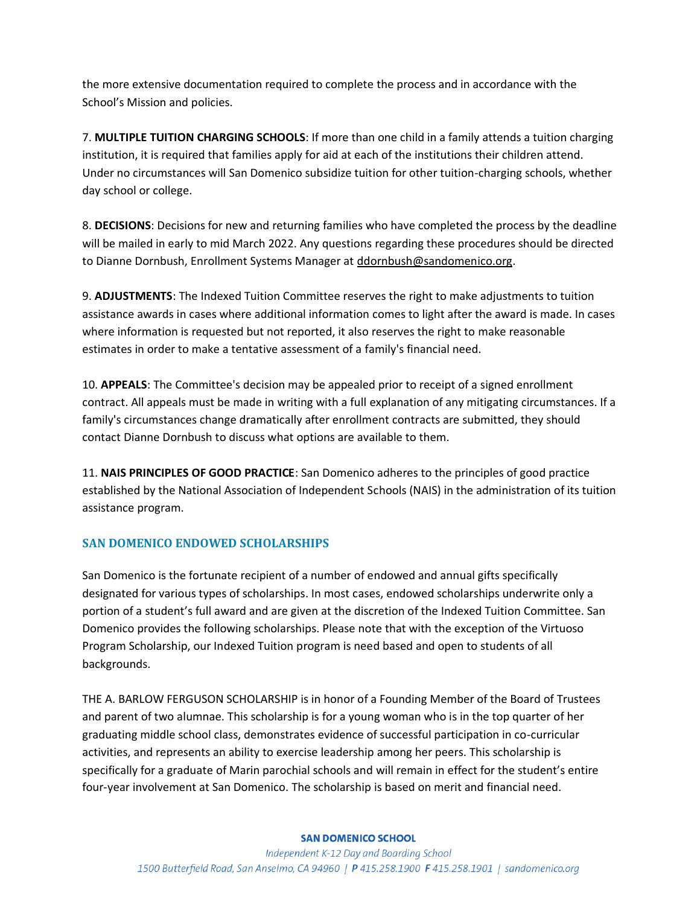the more extensive documentation required to complete the process and in accordance with the School's Mission and policies.

7. **MULTIPLE TUITION CHARGING SCHOOLS**: If more than one child in a family attends a tuition charging institution, it is required that families apply for aid at each of the institutions their children attend. Under no circumstances will San Domenico subsidize tuition for other tuition-charging schools, whether day school or college.

8. **DECISIONS**: Decisions for new and returning families who have completed the process by the deadline will be mailed in early to mid March 2022. Any questions regarding these procedures should be directed to Dianne Dornbush, Enrollment Systems Manager at ddornbush@sandomenico.org.

9. **ADJUSTMENTS**: The Indexed Tuition Committee reserves the right to make adjustments to tuition assistance awards in cases where additional information comes to light after the award is made. In cases where information is requested but not reported, it also reserves the right to make reasonable estimates in order to make a tentative assessment of a family's financial need.

10. **APPEALS**: The Committee's decision may be appealed prior to receipt of a signed enrollment contract. All appeals must be made in writing with a full explanation of any mitigating circumstances. If a family's circumstances change dramatically after enrollment contracts are submitted, they should contact Dianne Dornbush to discuss what options are available to them.

11. **NAIS PRINCIPLES OF GOOD PRACTICE**: San Domenico adheres to the principles of good practice established by the National Association of Independent Schools (NAIS) in the administration of its tuition assistance program.

# **SAN DOMENICO ENDOWED SCHOLARSHIPS**

San Domenico is the fortunate recipient of a number of endowed and annual gifts specifically designated for various types of scholarships. In most cases, endowed scholarships underwrite only a portion of a student's full award and are given at the discretion of the Indexed Tuition Committee. San Domenico provides the following scholarships. Please note that with the exception of the Virtuoso Program Scholarship, our Indexed Tuition program is need based and open to students of all backgrounds.

THE A. BARLOW FERGUSON SCHOLARSHIP is in honor of a Founding Member of the Board of Trustees and parent of two alumnae. This scholarship is for a young woman who is in the top quarter of her graduating middle school class, demonstrates evidence of successful participation in co-curricular activities, and represents an ability to exercise leadership among her peers. This scholarship is specifically for a graduate of Marin parochial schools and will remain in effect for the student's entire four-year involvement at San Domenico. The scholarship is based on merit and financial need.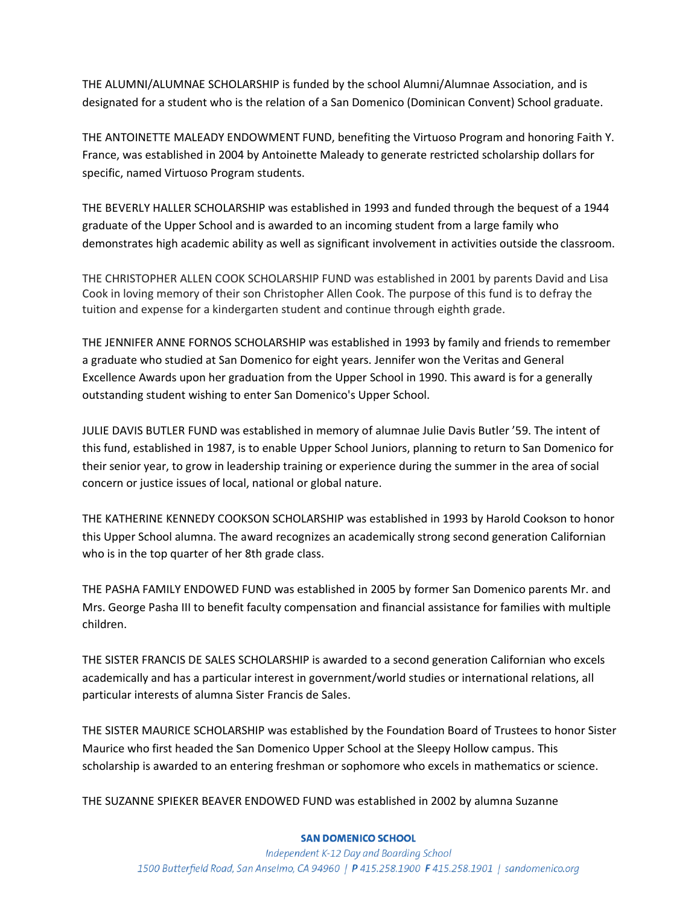THE ALUMNI/ALUMNAE SCHOLARSHIP is funded by the school Alumni/Alumnae Association, and is designated for a student who is the relation of a San Domenico (Dominican Convent) School graduate.

THE ANTOINETTE MALEADY ENDOWMENT FUND, benefiting the Virtuoso Program and honoring Faith Y. France, was established in 2004 by Antoinette Maleady to generate restricted scholarship dollars for specific, named Virtuoso Program students.

THE BEVERLY HALLER SCHOLARSHIP was established in 1993 and funded through the bequest of a 1944 graduate of the Upper School and is awarded to an incoming student from a large family who demonstrates high academic ability as well as significant involvement in activities outside the classroom.

THE CHRISTOPHER ALLEN COOK SCHOLARSHIP FUND was established in 2001 by parents David and Lisa Cook in loving memory of their son Christopher Allen Cook. The purpose of this fund is to defray the tuition and expense for a kindergarten student and continue through eighth grade.

THE JENNIFER ANNE FORNOS SCHOLARSHIP was established in 1993 by family and friends to remember a graduate who studied at San Domenico for eight years. Jennifer won the Veritas and General Excellence Awards upon her graduation from the Upper School in 1990. This award is for a generally outstanding student wishing to enter San Domenico's Upper School.

JULIE DAVIS BUTLER FUND was established in memory of alumnae Julie Davis Butler '59. The intent of this fund, established in 1987, is to enable Upper School Juniors, planning to return to San Domenico for their senior year, to grow in leadership training or experience during the summer in the area of social concern or justice issues of local, national or global nature.

THE KATHERINE KENNEDY COOKSON SCHOLARSHIP was established in 1993 by Harold Cookson to honor this Upper School alumna. The award recognizes an academically strong second generation Californian who is in the top quarter of her 8th grade class.

THE PASHA FAMILY ENDOWED FUND was established in 2005 by former San Domenico parents Mr. and Mrs. George Pasha III to benefit faculty compensation and financial assistance for families with multiple children.

THE SISTER FRANCIS DE SALES SCHOLARSHIP is awarded to a second generation Californian who excels academically and has a particular interest in government/world studies or international relations, all particular interests of alumna Sister Francis de Sales.

THE SISTER MAURICE SCHOLARSHIP was established by the Foundation Board of Trustees to honor Sister Maurice who first headed the San Domenico Upper School at the Sleepy Hollow campus. This scholarship is awarded to an entering freshman or sophomore who excels in mathematics or science.

THE SUZANNE SPIEKER BEAVER ENDOWED FUND was established in 2002 by alumna Suzanne